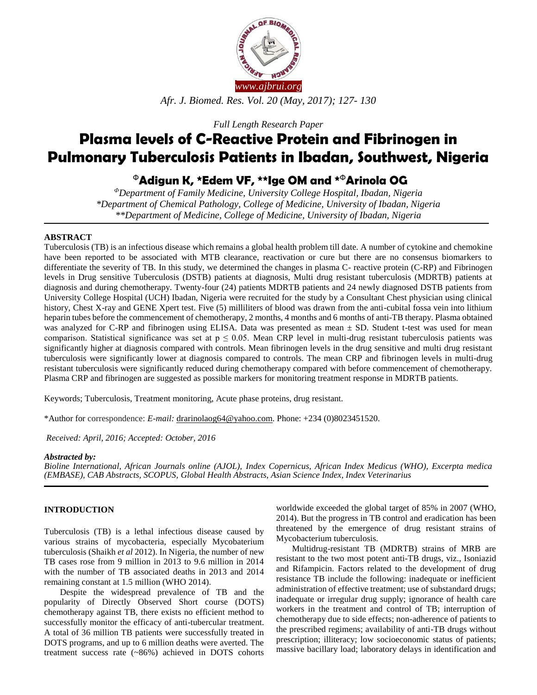

*Full Length Research Paper*

# **Plasma levels of C-Reactive Protein and Fibrinogen in Pulmonary Tuberculosis Patients in Ibadan, Southwest, Nigeria**

# <sup>Ф</sup>**Adigun K, \*Edem VF, \*\*Ige OM and \***<sup>Ф</sup>**Arinola OG**

*<sup>Ф</sup>Department of Family Medicine, University College Hospital, Ibadan, Nigeria \*Department of Chemical Pathology, College of Medicine, University of Ibadan, Nigeria \*\*Department of Medicine, College of Medicine, University of Ibadan, Nigeria*

# **ABSTRACT**

Tuberculosis (TB) is an infectious disease which remains a global health problem till date. A number of cytokine and chemokine have been reported to be associated with MTB clearance, reactivation or cure but there are no consensus biomarkers to differentiate the severity of TB. In this study, we determined the changes in plasma C- reactive protein (C-RP) and Fibrinogen levels in Drug sensitive Tuberculosis (DSTB) patients at diagnosis, Multi drug resistant tuberculosis (MDRTB) patients at diagnosis and during chemotherapy. Twenty-four (24) patients MDRTB patients and 24 newly diagnosed DSTB patients from University College Hospital (UCH) Ibadan, Nigeria were recruited for the study by a Consultant Chest physician using clinical history, Chest X-ray and GENE Xpert test. Five (5) milliliters of blood was drawn from the anti-cubital fossa vein into lithium heparin tubes before the commencement of chemotherapy, 2 months, 4 months and 6 months of anti-TB therapy. Plasma obtained was analyzed for C-RP and fibrinogen using ELISA. Data was presented as mean  $\pm$  SD. Student t-test was used for mean comparison. Statistical significance was set at  $p \le 0.05$ . Mean CRP level in multi-drug resistant tuberculosis patients was significantly higher at diagnosis compared with controls. Mean fibrinogen levels in the drug sensitive and multi drug resistant tuberculosis were significantly lower at diagnosis compared to controls. The mean CRP and fibrinogen levels in multi-drug resistant tuberculosis were significantly reduced during chemotherapy compared with before commencement of chemotherapy. Plasma CRP and fibrinogen are suggested as possible markers for monitoring treatment response in MDRTB patients.

Keywords; Tuberculosis, Treatment monitoring, Acute phase proteins, drug resistant.

\*Author for correspondence: *E-mail:* [drarinolaog64@yahoo.com.](mailto:drarinolaog64@yahoo.com) Phone: +234 (0)8023451520.

*Received: April, 2016; Accepted: October, 2016*

# *Abstracted by:*

*Bioline International, African Journals online (AJOL), Index Copernicus, African Index Medicus (WHO), Excerpta medica (EMBASE), CAB Abstracts, SCOPUS, Global Health Abstracts, Asian Science Index, Index Veterinarius*

# **INTRODUCTION**

Tuberculosis (TB) is a lethal infectious disease caused by various strains of mycobacteria, especially Mycobaterium tuberculosis (Shaikh *et al* 2012). In Nigeria, the number of new TB cases rose from 9 million in 2013 to 9.6 million in 2014 with the number of TB associated deaths in 2013 and 2014 remaining constant at 1.5 million (WHO 2014).

Despite the widespread prevalence of TB and the popularity of Directly Observed Short course (DOTS) chemotherapy against TB, there exists no efficient method to successfully monitor the efficacy of anti-tubercular treatment. A total of 36 million TB patients were successfully treated in DOTS programs, and up to 6 million deaths were averted. The treatment success rate (~86%) achieved in DOTS cohorts worldwide exceeded the global target of 85% in 2007 (WHO, 2014). But the progress in TB control and eradication has been threatened by the emergence of drug resistant strains of Mycobacterium tuberculosis.

Multidrug-resistant TB (MDRTB) strains of MRB are resistant to the two most potent anti-TB drugs, viz., Isoniazid and Rifampicin. Factors related to the development of drug resistance TB include the following: inadequate or inefficient administration of effective treatment; use of substandard drugs; inadequate or irregular drug supply; ignorance of health care workers in the treatment and control of TB; interruption of chemotherapy due to side effects; non-adherence of patients to the prescribed regimens; availability of anti-TB drugs without prescription; illiteracy; low socioeconomic status of patients; massive bacillary load; laboratory delays in identification and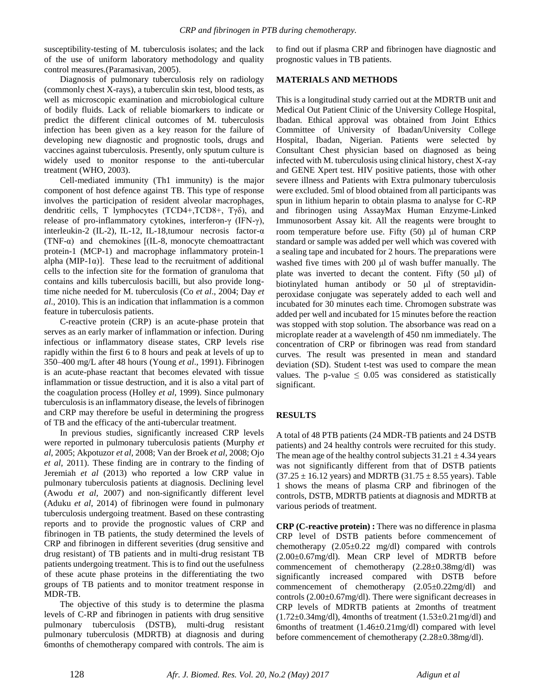susceptibility-testing of M. tuberculosis isolates; and the lack of the use of uniform laboratory methodology and quality control measures.(Paramasivan, 2005).

Diagnosis of pulmonary tuberculosis rely on radiology (commonly chest X-rays), a tuberculin skin test, blood tests, as well as microscopic examination and microbiological culture of bodily fluids. Lack of reliable biomarkers to indicate or predict the different clinical outcomes of M. tuberculosis infection has been given as a key reason for the failure of developing new diagnostic and prognostic tools, drugs and vaccines against tuberculosis. Presently, only sputum culture is widely used to monitor response to the anti-tubercular treatment (WHO, 2003).

Cell-mediated immunity (Th1 immunity) is the major component of host defence against TB. This type of response involves the participation of resident alveolar macrophages, dendritic cells, T lymphocytes (TCD4+,TCD8+, Tγδ), and release of pro-inflammatory cytokines, interferon-γ (IFN-γ), interleukin-2 (IL-2), IL-12, IL-18,tumour necrosis factor-α (TNF-α) and chemokines [(IL-8, monocyte chemoattractant protein-1 (MCP-1) and macrophage inflammatory protein-1 alpha (MIP-1 $\alpha$ ). These lead to the recruitment of additional cells to the infection site for the formation of granuloma that contains and kills tuberculosis bacilli, but also provide longtime niche needed for M. tuberculosis (Co *et al*., 2004; Day *et al*., 2010). This is an indication that inflammation is a common feature in tuberculosis patients.

C-reactive protein (CRP) is an acute-phase protein that serves as an early marker of inflammation or infection. During infectious or inflammatory disease states, CRP levels rise rapidly within the first 6 to 8 hours and peak at levels of up to 350–400 mg/L after 48 hours (Young *et al*., 1991). Fibrinogen is an acute-phase reactant that becomes elevated with tissue inflammation or tissue destruction, and it is also a vital part of the coagulation process (Holley *et al*, 1999). Since pulmonary tuberculosis is an inflammatory disease, the levels of fibrinogen and CRP may therefore be useful in determining the progress of TB and the efficacy of the anti-tubercular treatment.

In previous studies, significantly increased CRP levels were reported in pulmonary tuberculosis patients (Murphy *et al*, 2005; Akpotuzor *et al*, 2008; Van der Broek *et al*, 2008; Ojo *et al*, 2011). These finding are in contrary to the finding of Jeremiah *et al* (2013) who reported a low CRP value in pulmonary tuberculosis patients at diagnosis. Declining level (Awodu *et al*, 2007) and non-significantly different level (Aduku *et al*, 2014) of fibrinogen were found in pulmonary tuberculosis undergoing treatment. Based on these contrasting reports and to provide the prognostic values of CRP and fibrinogen in TB patients, the study determined the levels of CRP and fibrinogen in different severities (drug sensitive and drug resistant) of TB patients and in multi-drug resistant TB patients undergoing treatment. This is to find out the usefulness of these acute phase proteins in the differentiating the two groups of TB patients and to monitor treatment response in MDR-TB.

The objective of this study is to determine the plasma levels of C-RP and fibrinogen in patients with drug sensitive pulmonary tuberculosis (DSTB), multi-drug resistant pulmonary tuberculosis (MDRTB) at diagnosis and during 6months of chemotherapy compared with controls. The aim is to find out if plasma CRP and fibrinogen have diagnostic and prognostic values in TB patients.

#### **MATERIALS AND METHODS**

This is a longitudinal study carried out at the MDRTB unit and Medical Out Patient Clinic of the University College Hospital, Ibadan. Ethical approval was obtained from Joint Ethics Committee of University of Ibadan/University College Hospital, Ibadan, Nigerian. Patients were selected by Consultant Chest physician based on diagnosed as being infected with M. tuberculosis using clinical history, chest X-ray and GENE Xpert test. HIV positive patients, those with other severe illness and Patients with Extra pulmonary tuberculosis were excluded. 5ml of blood obtained from all participants was spun in lithium heparin to obtain plasma to analyse for C-RP and fibrinogen using AssayMax Human Enzyme-Linked Immunosorbent Assay kit. All the reagents were brought to room temperature before use. Fifty  $(50)$   $\mu$ l of human CRP standard or sample was added per well which was covered with a sealing tape and incubated for 2 hours. The preparations were washed five times with  $200 \mu l$  of wash buffer manually. The plate was inverted to decant the content. Fifty  $(50 \mu l)$  of biotinylated human antibody or  $50 \mu l$  of streptavidinperoxidase conjugate was seperately added to each well and incubated for 30 minutes each time. Chromogen substrate was added per well and incubated for 15 minutes before the reaction was stopped with stop solution. The absorbance was read on a microplate reader at a wavelength of 450 nm immediately. The concentration of CRP or fibrinogen was read from standard curves. The result was presented in mean and standard deviation (SD). Student t-test was used to compare the mean values. The p-value  $\leq 0.05$  was considered as statistically significant.

# **RESULTS**

A total of 48 PTB patients (24 MDR-TB patients and 24 DSTB patients) and 24 healthy controls were recruited for this study. The mean age of the healthy control subjects  $31.21 \pm 4.34$  years was not significantly different from that of DSTB patients  $(37.25 \pm 16.12 \text{ years})$  and MDRTB  $(31.75 \pm 8.55 \text{ years})$ . Table 1 shows the means of plasma CRP and fibrinogen of the controls, DSTB, MDRTB patients at diagnosis and MDRTB at various periods of treatment.

**CRP (C-reactive protein) :** There was no difference in plasma CRP level of DSTB patients before commencement of chemotherapy  $(2.05\pm0.22 \text{ mg/dl})$  compared with controls (2.00±0.67mg/dl). Mean CRP level of MDRTB before commencement of chemotherapy (2.28±0.38mg/dl) was significantly increased compared with DSTB before commencement of chemotherapy (2.05±0.22mg/dl) and controls (2.00±0.67mg/dl). There were significant decreases in CRP levels of MDRTB patients at 2months of treatment  $(1.72\pm0.34\text{mg/dl})$ , 4months of treatment  $(1.53\pm0.21\text{mg/dl})$  and 6months of treatment  $(1.46\pm0.21$ mg/dl) compared with level before commencement of chemotherapy (2.28±0.38mg/dl).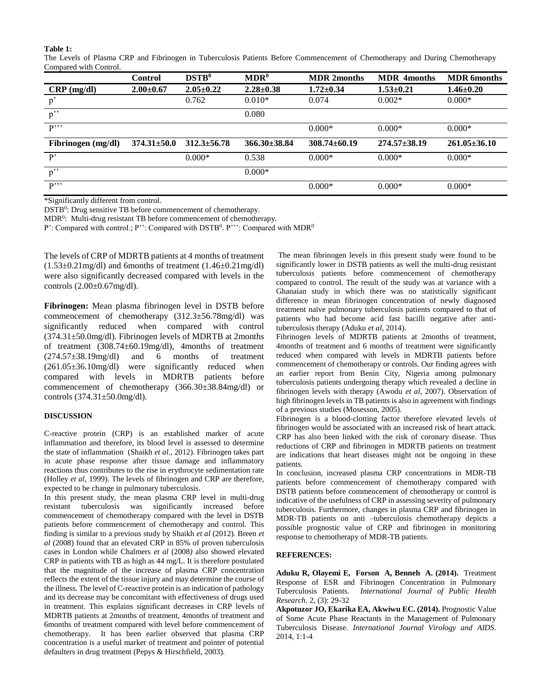#### **Table 1:**

The Levels of Plasma CRP and Fibrinogen in Tuberculosis Patients Before Commencement of Chemotherapy and During Chemotherapy Compared with Control.

|                    | <b>Control</b>    | DSTB <sup>0</sup> | MDR <sup>0</sup> | <b>MDR</b> 2months | <b>MDR</b> 4months | <b>MDR</b> 6months |
|--------------------|-------------------|-------------------|------------------|--------------------|--------------------|--------------------|
| $CRP$ (mg/dl)      | $2.00\pm0.67$     | $2.05 \pm 0.22$   | $2.28 \pm 0.38$  | $1.72 \pm 0.34$    | $1.53 \pm 0.21$    | $1.46 \pm 0.20$    |
| $p^{\prime}$       |                   | 0.762             | $0.010*$         | 0.074              | $0.002*$           | $0.000*$           |
| $p$ "              |                   |                   | 0.080            |                    |                    |                    |
| $\mathbf{p}$       |                   |                   |                  | $0.000*$           | $0.000*$           | $0.000*$           |
| Fibrinogen (mg/dl) | $374.31 \pm 50.0$ | $312.3 \pm 56.78$ | $366.30\pm38.84$ | $308.74 \pm 60.19$ | $274.57 \pm 38.19$ | $261.05 \pm 36.10$ |
| $\mathbf{p}$       |                   | $0.000*$          | 0.538            | $0.000*$           | $0.000*$           | $0.000*$           |
| p''                |                   |                   | $0.000*$         |                    |                    |                    |
| $\mathbf{p}$       |                   |                   |                  | $0.000*$           | $0.000*$           | $0.000*$           |

\*Significantly different from control.

DSTB<sup>0</sup>: Drug sensitive TB before commencement of chemotherapy.

MDR<sup>0</sup>: Multi-drug resistant TB before commencement of chemotherapy.

P': Compared with control.; P'': Compared with DSTB<sup>0</sup>. P''': Compared with MDR<sup>0</sup>

The levels of CRP of MDRTB patients at 4 months of treatment (1.53±0.21mg/dl) and 6months of treatment (1.46±0.21mg/dl) were also significantly decreased compared with levels in the controls (2.00±0.67mg/dl).

**Fibrinogen:** Mean plasma fibrinogen level in DSTB before commencement of chemotherapy (312.3±56.78mg/dl) was significantly reduced when compared with control (374.31±50.0mg/dl). Fibrinogen levels of MDRTB at 2months of treatment (308.74±60.19mg/dl), 4months of treatment (274.57±38.19mg/dl) and 6 months of treatment (261.05±36.10mg/dl) were significantly reduced when compared with levels in MDRTB patients before commencement of chemotherapy (366.30±38.84mg/dl) or controls (374.31±50.0mg/dl).

#### **DISCUSSION**

C-reactive protein (CRP) is an established marker of acute inflammation and therefore, its blood level is assessed to determine the state of inflammation (Shaikh *et al*., 2012). Fibrinogen takes part in acute phase response after tissue damage and inflammatory reactions thus contributes to the rise in erythrocyte sedimentation rate (Holley *et al*, 1999). The levels of fibrinogen and CRP are therefore, expected to be change in pulmonary tuberculosis.

In this present study, the mean plasma CRP level in multi-drug resistant tuberculosis was significantly increased before commencement of chemotherapy compared with the level in DSTB patients before commencement of chemotherapy and control. This finding is similar to a previous study by Shaikh *et al* (2012). Breen *et al* (2008) found that an elevated CRP in 85% of proven tuberculosis cases in London while Chalmers *et al* (2008*)* also showed elevated CRP in patients with TB as high as 44 mg/L. It is therefore postulated that the magnitude of the increase of plasma CRP concentration reflects the extent of the tissue injury and may determine the course of the illness. The level of C-reactive protein is an indication of pathology and its decrease may be concomitant with effectiveness of drugs used in treatment. This explains significant decreases in CRP levels of MDRTB patients at 2months of treatment, 4months of treatment and 6months of treatment compared with level before commencement of chemotherapy. It has been earlier observed that plasma CRP concentration is a useful marker of treatment and pointer of potential defaulters in drug treatment (Pepys & Hirschfield, 2003).

The mean fibrinogen levels in this present study were found to be significantly lower in DSTB patients as well the multi-drug resistant tuberculosis patients before commencement of chemotherapy compared to control. The result of the study was at variance with a Ghanaian study in which there was no statistically significant difference in mean fibrinogen concentration of newly diagnosed treatment naïve pulmonary tuberculosis patients compared to that of patients who had become acid fast bacilli negative after antituberculosis therapy (Aduku *et al*, 2014).

Fibrinogen levels of MDRTB patients at 2months of treatment, 4months of treatment and 6 months of treatment were significantly reduced when compared with levels in MDRTB patients before commencement of chemotherapy or controls. Our finding agrees with an earlier report from Benin City, Nigeria among pulmonary tuberculosis patients undergoing therapy which revealed a decline in fibrinogen levels with therapy (Awodu *et al*, 2007). Observation of high fibrinogen levels in TB patients is also in agreement with findings of a previous studies (Mosesson, 2005).

Fibrinogen is a blood-clotting factor therefore elevated levels of fibrinogen would be associated with an increased risk of heart attack. CRP has also been linked with the risk of coronary disease. Thus reductions of CRP and fibrinogen in MDRTB patients on treatment are indications that heart diseases might not be ongoing in these patients.

In conclusion, increased plasma CRP concentrations in MDR-TB patients before commencement of chemotherapy compared with DSTB patients before commencement of chemotherapy or control is indicative of the usefulness of CRP in assessing severity of pulmonary tuberculosis. Furthermore, changes in plasma CRP and fibrinogen in MDR-TB patients on anti –tuberculosis chemotherapy depicts a possible prognostic value of CRP and fibrinogen in monitoring response to chemotherapy of MDR-TB patients.

#### **REFERENCES:**

**Aduku R, Olayemi E, Forson A, Benneh A. (2014).** Treatment Response of ESR and Fibrinogen Concentration in Pulmonary Tuberculosis Patients. *International Journal of Public Health Research.* 2, (3): 29-32

**Akpotuzor JO, Ekarika EA, Akwiwu EC. (2014).** Prognostic Value of Some Acute Phase Reactants in the Management of Pulmonary Tuberculosis Disease. *International Journal Virology and AIDS*. 2014, 1:1-4